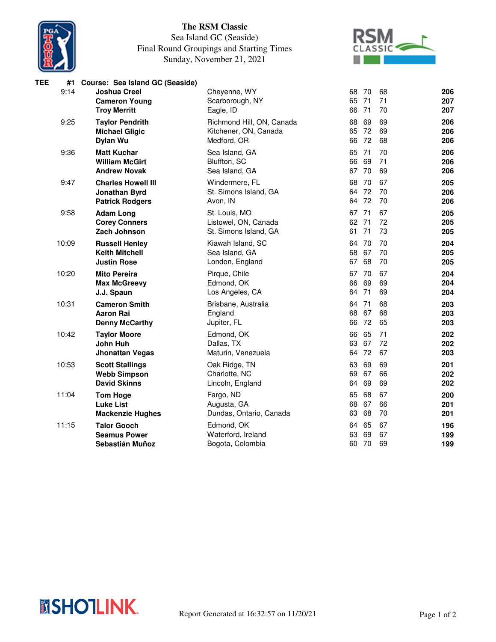

## **The RSM Classic**

## Sea Island GC (Seaside) Final Round Groupings and Starting Times Sunday, November 21, 2021



| TEE | #1    | Course: Sea Island GC (Seaside) |                           |       |     |    |     |
|-----|-------|---------------------------------|---------------------------|-------|-----|----|-----|
|     | 9:14  | <b>Joshua Creel</b>             | Cheyenne, WY              | 68    | -70 | 68 | 206 |
|     |       | <b>Cameron Young</b>            | Scarborough, NY           | 65    | 71  | 71 | 207 |
|     |       | <b>Troy Merritt</b>             | Eagle, ID                 | 66    | 71  | 70 | 207 |
|     | 9:25  | <b>Taylor Pendrith</b>          | Richmond Hill, ON, Canada | 68    | 69  | 69 | 206 |
|     |       | <b>Michael Gligic</b>           | Kitchener, ON, Canada     | 65    | 72  | 69 | 206 |
|     |       | Dylan Wu                        | Medford, OR               | 66    | 72  | 68 | 206 |
|     | 9:36  | <b>Matt Kuchar</b>              | Sea Island, GA            | 65    | 71  | 70 | 206 |
|     |       | <b>William McGirt</b>           | Bluffton, SC              | 66    | 69  | 71 | 206 |
|     |       | <b>Andrew Novak</b>             | Sea Island, GA            | 67    | 70  | 69 | 206 |
|     | 9:47  | <b>Charles Howell III</b>       | Windermere, FL            | 68    | 70  | 67 | 205 |
|     |       | Jonathan Byrd                   | St. Simons Island, GA     | 64 72 |     | 70 | 206 |
|     |       | <b>Patrick Rodgers</b>          | Avon, IN                  | 64 72 |     | 70 | 206 |
|     | 9:58  | <b>Adam Long</b>                | St. Louis, MO             | 67 71 |     | 67 | 205 |
|     |       | <b>Corey Conners</b>            | Listowel, ON, Canada      | 62 71 |     | 72 | 205 |
|     |       | Zach Johnson                    | St. Simons Island, GA     | 61    | 71  | 73 | 205 |
|     | 10:09 | <b>Russell Henley</b>           | Kiawah Island, SC         | 64 70 |     | 70 | 204 |
|     |       | <b>Keith Mitchell</b>           | Sea Island, GA            | 68    | 67  | 70 | 205 |
|     |       | <b>Justin Rose</b>              | London, England           | 67    | 68  | 70 | 205 |
|     | 10:20 | <b>Mito Pereira</b>             | Pirque, Chile             | 67 70 |     | 67 | 204 |
|     |       | <b>Max McGreevy</b>             | Edmond, OK                | 66    | 69  | 69 | 204 |
|     |       | J.J. Spaun                      | Los Angeles, CA           | 64 71 |     | 69 | 204 |
|     | 10:31 | <b>Cameron Smith</b>            | Brisbane, Australia       | 64 71 |     | 68 | 203 |
|     |       | <b>Aaron Rai</b>                | England                   | 68    | 67  | 68 | 203 |
|     |       | <b>Denny McCarthy</b>           | Jupiter, FL               | 66    | 72  | 65 | 203 |
|     | 10:42 | <b>Taylor Moore</b>             | Edmond, OK                | 66    | 65  | 71 | 202 |
|     |       | John Huh                        | Dallas, TX                | 63    | 67  | 72 | 202 |
|     |       | <b>Jhonattan Vegas</b>          | Maturin, Venezuela        | 64 72 |     | 67 | 203 |
|     | 10:53 | <b>Scott Stallings</b>          | Oak Ridge, TN             | 63    | 69  | 69 | 201 |
|     |       | <b>Webb Simpson</b>             | Charlotte, NC             | 69    | 67  | 66 | 202 |
|     |       | <b>David Skinns</b>             | Lincoln, England          | 64    | 69  | 69 | 202 |
|     | 11:04 | <b>Tom Hoge</b>                 | Fargo, ND                 | 65    | 68  | 67 | 200 |
|     |       | <b>Luke List</b>                | Augusta, GA               | 68    | 67  | 66 | 201 |
|     |       | <b>Mackenzie Hughes</b>         | Dundas, Ontario, Canada   | 63    | 68  | 70 | 201 |
|     | 11:15 | <b>Talor Gooch</b>              | Edmond, OK                | 64 65 |     | 67 | 196 |
|     |       | <b>Seamus Power</b>             | Waterford, Ireland        | 63    | 69  | 67 | 199 |
|     |       | Sebastián Muñoz                 | Bogota, Colombia          | 60 70 |     | 69 | 199 |
|     |       |                                 |                           |       |     |    |     |